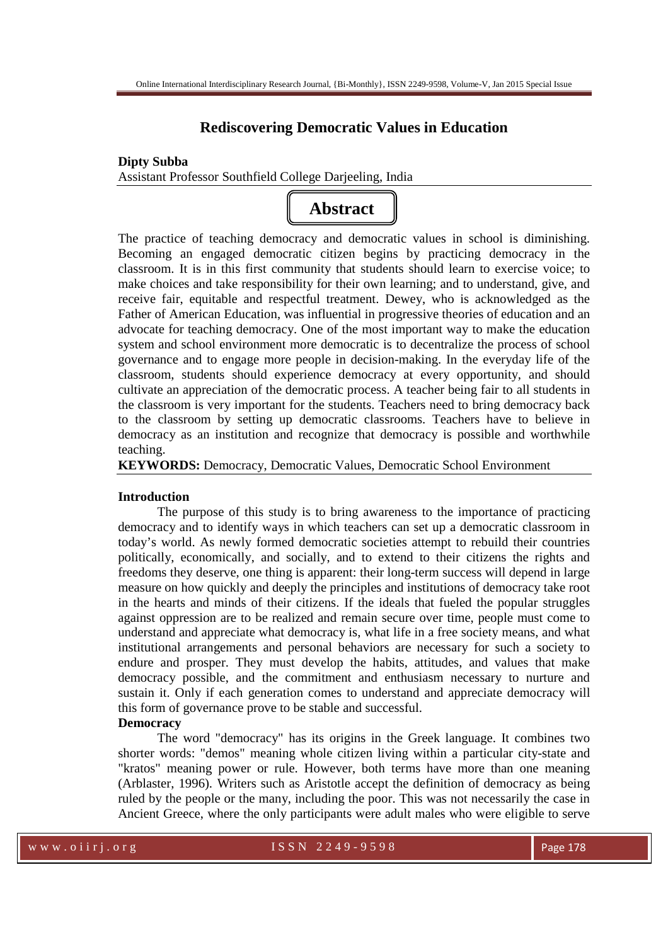# **Rediscovering Democratic Values in Education**

### **Dipty Subba**

Assistant Professor Southfield College Darjeeling, India



The practice of teaching democracy and democratic values in school is diminishing. Becoming an engaged democratic citizen begins by practicing democracy in the classroom. It is in this first community that students should learn to exercise voice; to make choices and take responsibility for their own learning; and to understand, give, and receive fair, equitable and respectful treatment. Dewey, who is acknowledged as the Father of American Education, was influential in progressive theories of education and an advocate for teaching democracy. One of the most important way to make the education system and school environment more democratic is to decentralize the process of school governance and to engage more people in decision-making. In the everyday life of the classroom, students should experience democracy at every opportunity, and should cultivate an appreciation of the democratic process. A teacher being fair to all students in the classroom is very important for the students. Teachers need to bring democracy back to the classroom by setting up democratic classrooms. Teachers have to believe in democracy as an institution and recognize that democracy is possible and worthwhile teaching.

**KEYWORDS:** Democracy, Democratic Values, Democratic School Environment

#### **Introduction**

The purpose of this study is to bring awareness to the importance of practicing democracy and to identify ways in which teachers can set up a democratic classroom in today's world. As newly formed democratic societies attempt to rebuild their countries politically, economically, and socially, and to extend to their citizens the rights and freedoms they deserve, one thing is apparent: their long-term success will depend in large measure on how quickly and deeply the principles and institutions of democracy take root in the hearts and minds of their citizens. If the ideals that fueled the popular struggles against oppression are to be realized and remain secure over time, people must come to understand and appreciate what democracy is, what life in a free society means, and what institutional arrangements and personal behaviors are necessary for such a society to endure and prosper. They must develop the habits, attitudes, and values that make democracy possible, and the commitment and enthusiasm necessary to nurture and sustain it. Only if each generation comes to understand and appreciate democracy will this form of governance prove to be stable and successful.

#### **Democracy**

The word "democracy" has its origins in the Greek language. It combines two shorter words: "demos" meaning whole citizen living within a particular city-state and "kratos" meaning power or rule. However, both terms have more than one meaning (Arblaster, 1996). Writers such as Aristotle accept the definition of democracy as being ruled by the people or the many, including the poor. This was not necessarily the case in Ancient Greece, where the only participants were adult males who were eligible to serve

w w w . o i i r j . o r g  $1 S S N 2 2 49 - 9598$  Page 178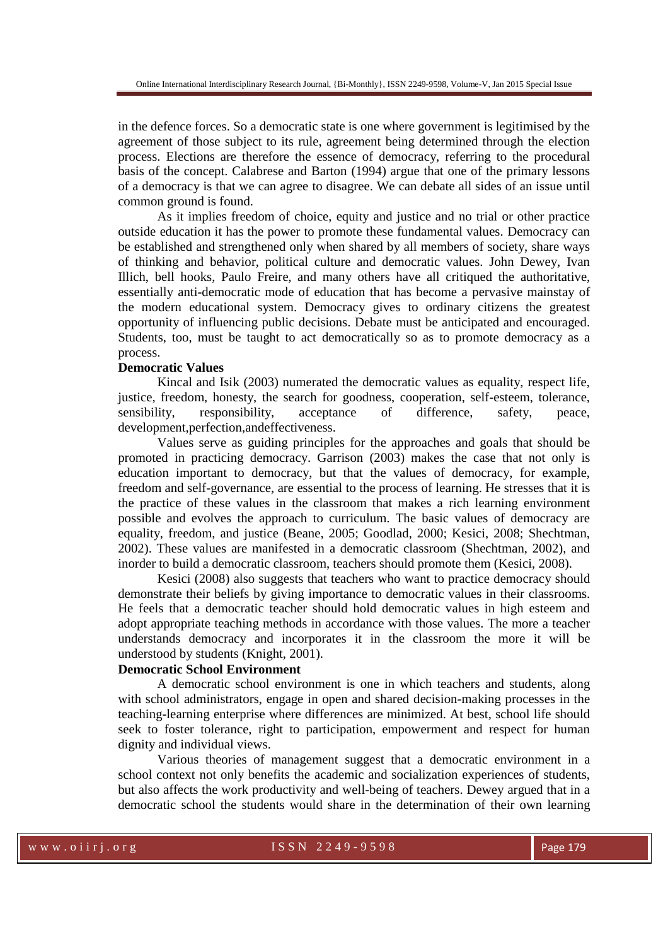in the defence forces. So a democratic state is one where government is legitimised by the agreement of those subject to its rule, agreement being determined through the election process. Elections are therefore the essence of democracy, referring to the procedural basis of the concept. Calabrese and Barton (1994) argue that one of the primary lessons of a democracy is that we can agree to disagree. We can debate all sides of an issue until common ground is found.

As it implies freedom of choice, equity and justice and no trial or other practice outside education it has the power to promote these fundamental values. Democracy can be established and strengthened only when shared by all members of society, share ways of thinking and behavior, political culture and democratic values. John Dewey, Ivan Illich, bell hooks, Paulo Freire, and many others have all critiqued the authoritative, essentially anti-democratic mode of education that has become a pervasive mainstay of the modern educational system. Democracy gives to ordinary citizens the greatest opportunity of influencing public decisions. Debate must be anticipated and encouraged. Students, too, must be taught to act democratically so as to promote democracy as a process.

## **Democratic Values**

Kincal and Isik (2003) numerated the democratic values as equality, respect life, justice, freedom, honesty, the search for goodness, cooperation, self-esteem, tolerance, sensibility, responsibility, acceptance of difference, safety, peace, development,perfection,andeffectiveness.

Values serve as guiding principles for the approaches and goals that should be promoted in practicing democracy. Garrison (2003) makes the case that not only is education important to democracy, but that the values of democracy, for example, freedom and self-governance, are essential to the process of learning. He stresses that it is the practice of these values in the classroom that makes a rich learning environment possible and evolves the approach to curriculum. The basic values of democracy are equality, freedom, and justice (Beane, 2005; Goodlad, 2000; Kesici, 2008; Shechtman, 2002). These values are manifested in a democratic classroom (Shechtman, 2002), and inorder to build a democratic classroom, teachers should promote them (Kesici, 2008).

Kesici (2008) also suggests that teachers who want to practice democracy should demonstrate their beliefs by giving importance to democratic values in their classrooms. He feels that a democratic teacher should hold democratic values in high esteem and adopt appropriate teaching methods in accordance with those values. The more a teacher understands democracy and incorporates it in the classroom the more it will be understood by students (Knight, 2001).

## **Democratic School Environment**

A democratic school environment is one in which teachers and students, along with school administrators, engage in open and shared decision-making processes in the teaching-learning enterprise where differences are minimized. At best, school life should seek to foster tolerance, right to participation, empowerment and respect for human dignity and individual views.

Various theories of management suggest that a democratic environment in a school context not only benefits the academic and socialization experiences of students, but also affects the work productivity and well-being of teachers. Dewey argued that in a democratic school the students would share in the determination of their own learning

w w w . o i i r j . o r g  $1 S S N 2 2 49 - 9598$  Page 179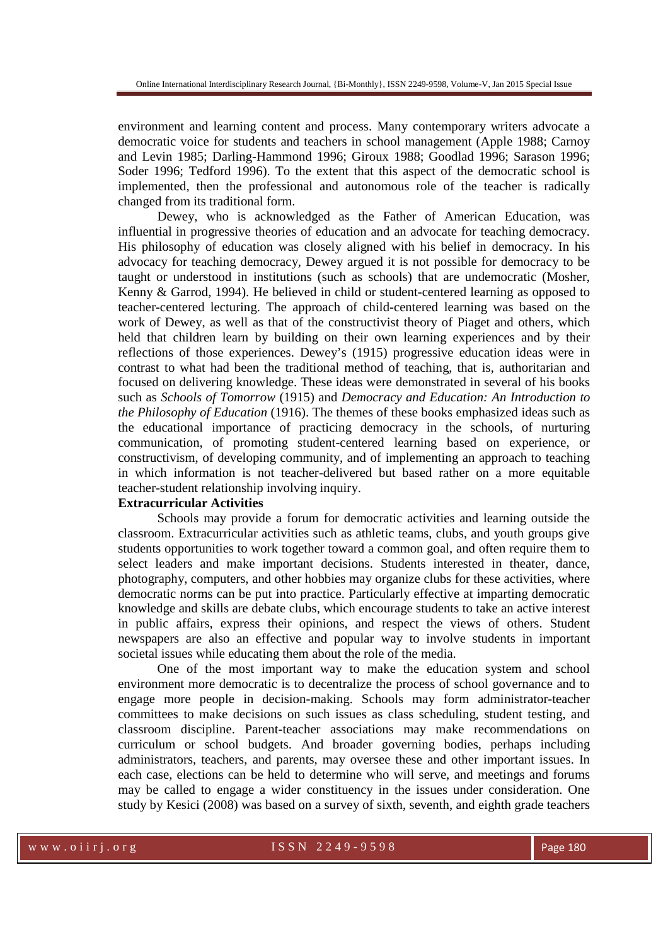environment and learning content and process. Many contemporary writers advocate a democratic voice for students and teachers in school management (Apple 1988; Carnoy and Levin 1985; Darling-Hammond 1996; Giroux 1988; Goodlad 1996; Sarason 1996; Soder 1996; Tedford 1996). To the extent that this aspect of the democratic school is implemented, then the professional and autonomous role of the teacher is radically changed from its traditional form.

Dewey, who is acknowledged as the Father of American Education, was influential in progressive theories of education and an advocate for teaching democracy. His philosophy of education was closely aligned with his belief in democracy. In his advocacy for teaching democracy, Dewey argued it is not possible for democracy to be taught or understood in institutions (such as schools) that are undemocratic (Mosher, Kenny & Garrod, 1994). He believed in child or student-centered learning as opposed to teacher-centered lecturing. The approach of child-centered learning was based on the work of Dewey, as well as that of the constructivist theory of Piaget and others, which held that children learn by building on their own learning experiences and by their reflections of those experiences. Dewey's (1915) progressive education ideas were in contrast to what had been the traditional method of teaching, that is, authoritarian and focused on delivering knowledge. These ideas were demonstrated in several of his books such as *Schools of Tomorrow* (1915) and *Democracy and Education: An Introduction to the Philosophy of Education* (1916). The themes of these books emphasized ideas such as the educational importance of practicing democracy in the schools, of nurturing communication, of promoting student-centered learning based on experience, or constructivism, of developing community, and of implementing an approach to teaching in which information is not teacher-delivered but based rather on a more equitable teacher-student relationship involving inquiry.

### **Extracurricular Activities**

Schools may provide a forum for democratic activities and learning outside the classroom. Extracurricular activities such as athletic teams, clubs, and youth groups give students opportunities to work together toward a common goal, and often require them to select leaders and make important decisions. Students interested in theater, dance, photography, computers, and other hobbies may organize clubs for these activities, where democratic norms can be put into practice. Particularly effective at imparting democratic knowledge and skills are debate clubs, which encourage students to take an active interest in public affairs, express their opinions, and respect the views of others. Student newspapers are also an effective and popular way to involve students in important societal issues while educating them about the role of the media.

One of the most important way to make the education system and school environment more democratic is to decentralize the process of school governance and to engage more people in decision-making. Schools may form administrator-teacher committees to make decisions on such issues as class scheduling, student testing, and classroom discipline. Parent-teacher associations may make recommendations on curriculum or school budgets. And broader governing bodies, perhaps including administrators, teachers, and parents, may oversee these and other important issues. In each case, elections can be held to determine who will serve, and meetings and forums may be called to engage a wider constituency in the issues under consideration. One study by Kesici (2008) was based on a survey of sixth, seventh, and eighth grade teachers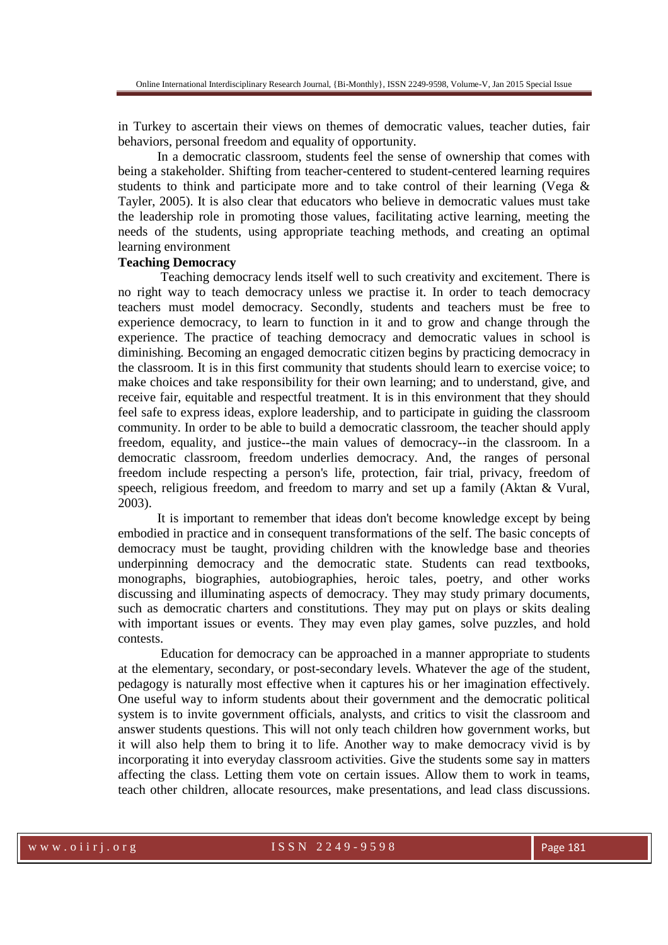in Turkey to ascertain their views on themes of democratic values, teacher duties, fair behaviors, personal freedom and equality of opportunity.

In a democratic classroom, students feel the sense of ownership that comes with being a stakeholder. Shifting from teacher-centered to student-centered learning requires students to think and participate more and to take control of their learning (Vega  $\&$ Tayler, 2005). It is also clear that educators who believe in democratic values must take the leadership role in promoting those values, facilitating active learning, meeting the needs of the students, using appropriate teaching methods, and creating an optimal learning environment

### **Teaching Democracy**

 Teaching democracy lends itself well to such creativity and excitement. There is no right way to teach democracy unless we practise it. In order to teach democracy teachers must model democracy. Secondly, students and teachers must be free to experience democracy, to learn to function in it and to grow and change through the experience. The practice of teaching democracy and democratic values in school is diminishing. Becoming an engaged democratic citizen begins by practicing democracy in the classroom. It is in this first community that students should learn to exercise voice; to make choices and take responsibility for their own learning; and to understand, give, and receive fair, equitable and respectful treatment. It is in this environment that they should feel safe to express ideas, explore leadership, and to participate in guiding the classroom community. In order to be able to build a democratic classroom, the teacher should apply freedom, equality, and justice--the main values of democracy--in the classroom. In a democratic classroom, freedom underlies democracy. And, the ranges of personal freedom include respecting a person's life, protection, fair trial, privacy, freedom of speech, religious freedom, and freedom to marry and set up a family (Aktan & Vural, 2003).

It is important to remember that ideas don't become knowledge except by being embodied in practice and in consequent transformations of the self. The basic concepts of democracy must be taught, providing children with the knowledge base and theories underpinning democracy and the democratic state. Students can read textbooks, monographs, biographies, autobiographies, heroic tales, poetry, and other works discussing and illuminating aspects of democracy. They may study primary documents, such as democratic charters and constitutions. They may put on plays or skits dealing with important issues or events. They may even play games, solve puzzles, and hold contests.

 Education for democracy can be approached in a manner appropriate to students at the elementary, secondary, or post-secondary levels. Whatever the age of the student, pedagogy is naturally most effective when it captures his or her imagination effectively. One useful way to inform students about their government and the democratic political system is to invite government officials, analysts, and critics to visit the classroom and answer students questions. This will not only teach children how government works, but it will also help them to bring it to life. Another way to make democracy vivid is by incorporating it into everyday classroom activities. Give the students some say in matters affecting the class. Letting them vote on certain issues. Allow them to work in teams, teach other children, allocate resources, make presentations, and lead class discussions.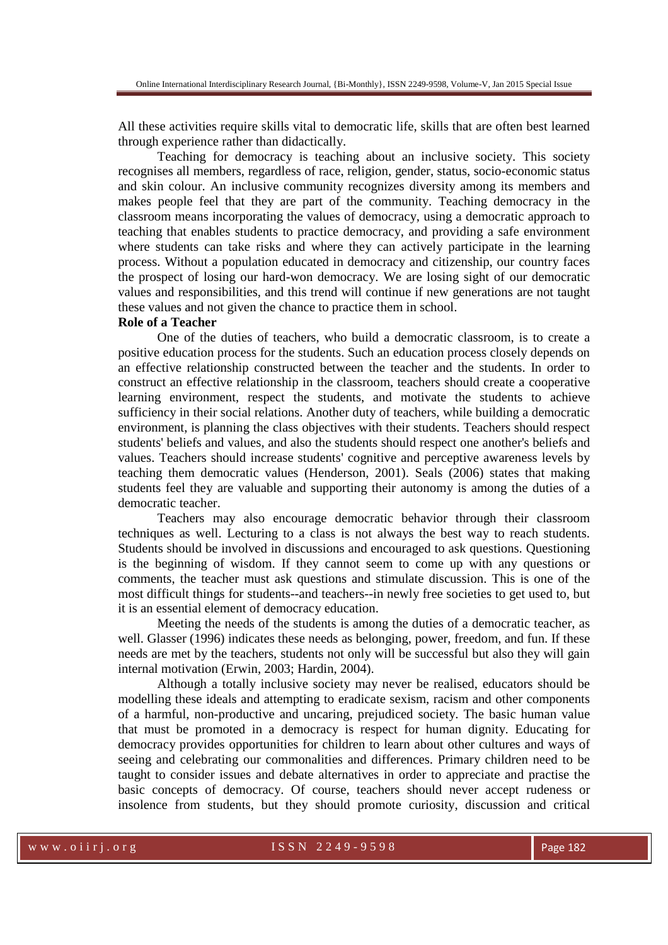All these activities require skills vital to democratic life, skills that are often best learned through experience rather than didactically.

Teaching for democracy is teaching about an inclusive society. This society recognises all members, regardless of race, religion, gender, status, socio-economic status and skin colour. An inclusive community recognizes diversity among its members and makes people feel that they are part of the community. Teaching democracy in the classroom means incorporating the values of democracy, using a democratic approach to teaching that enables students to practice democracy, and providing a safe environment where students can take risks and where they can actively participate in the learning process. Without a population educated in democracy and citizenship, our country faces the prospect of losing our hard-won democracy. We are losing sight of our democratic values and responsibilities, and this trend will continue if new generations are not taught these values and not given the chance to practice them in school.

## **Role of a Teacher**

One of the duties of teachers, who build a democratic classroom, is to create a positive education process for the students. Such an education process closely depends on an effective relationship constructed between the teacher and the students. In order to construct an effective relationship in the classroom, teachers should create a cooperative learning environment, respect the students, and motivate the students to achieve sufficiency in their social relations. Another duty of teachers, while building a democratic environment, is planning the class objectives with their students. Teachers should respect students' beliefs and values, and also the students should respect one another's beliefs and values. Teachers should increase students' cognitive and perceptive awareness levels by teaching them democratic values (Henderson, 2001). Seals (2006) states that making students feel they are valuable and supporting their autonomy is among the duties of a democratic teacher.

Teachers may also encourage democratic behavior through their classroom techniques as well. Lecturing to a class is not always the best way to reach students. Students should be involved in discussions and encouraged to ask questions. Questioning is the beginning of wisdom. If they cannot seem to come up with any questions or comments, the teacher must ask questions and stimulate discussion. This is one of the most difficult things for students--and teachers--in newly free societies to get used to, but it is an essential element of democracy education.

Meeting the needs of the students is among the duties of a democratic teacher, as well. Glasser (1996) indicates these needs as belonging, power, freedom, and fun. If these needs are met by the teachers, students not only will be successful but also they will gain internal motivation (Erwin, 2003; Hardin, 2004).

Although a totally inclusive society may never be realised, educators should be modelling these ideals and attempting to eradicate sexism, racism and other components of a harmful, non-productive and uncaring, prejudiced society. The basic human value that must be promoted in a democracy is respect for human dignity. Educating for democracy provides opportunities for children to learn about other cultures and ways of seeing and celebrating our commonalities and differences. Primary children need to be taught to consider issues and debate alternatives in order to appreciate and practise the basic concepts of democracy. Of course, teachers should never accept rudeness or insolence from students, but they should promote curiosity, discussion and critical

w w w . o i i r j . o r g  $1 S S N 2 2 49 - 9598$  Page 182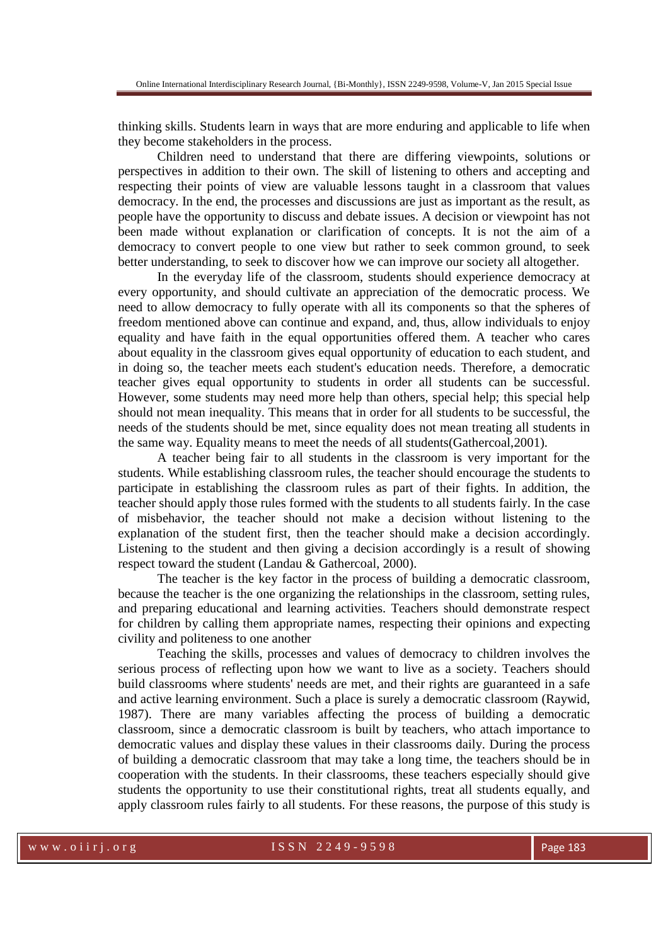thinking skills. Students learn in ways that are more enduring and applicable to life when they become stakeholders in the process.

Children need to understand that there are differing viewpoints, solutions or perspectives in addition to their own. The skill of listening to others and accepting and respecting their points of view are valuable lessons taught in a classroom that values democracy. In the end, the processes and discussions are just as important as the result, as people have the opportunity to discuss and debate issues. A decision or viewpoint has not been made without explanation or clarification of concepts. It is not the aim of a democracy to convert people to one view but rather to seek common ground, to seek better understanding, to seek to discover how we can improve our society all altogether.

In the everyday life of the classroom, students should experience democracy at every opportunity, and should cultivate an appreciation of the democratic process. We need to allow democracy to fully operate with all its components so that the spheres of freedom mentioned above can continue and expand, and, thus, allow individuals to enjoy equality and have faith in the equal opportunities offered them. A teacher who cares about equality in the classroom gives equal opportunity of education to each student, and in doing so, the teacher meets each student's education needs. Therefore, a democratic teacher gives equal opportunity to students in order all students can be successful. However, some students may need more help than others, special help; this special help should not mean inequality. This means that in order for all students to be successful, the needs of the students should be met, since equality does not mean treating all students in the same way. Equality means to meet the needs of all students(Gathercoal,2001).

A teacher being fair to all students in the classroom is very important for the students. While establishing classroom rules, the teacher should encourage the students to participate in establishing the classroom rules as part of their fights. In addition, the teacher should apply those rules formed with the students to all students fairly. In the case of misbehavior, the teacher should not make a decision without listening to the explanation of the student first, then the teacher should make a decision accordingly. Listening to the student and then giving a decision accordingly is a result of showing respect toward the student (Landau & Gathercoal, 2000).

The teacher is the key factor in the process of building a democratic classroom, because the teacher is the one organizing the relationships in the classroom, setting rules, and preparing educational and learning activities. Teachers should demonstrate respect for children by calling them appropriate names, respecting their opinions and expecting civility and politeness to one another

Teaching the skills, processes and values of democracy to children involves the serious process of reflecting upon how we want to live as a society. Teachers should build classrooms where students' needs are met, and their rights are guaranteed in a safe and active learning environment. Such a place is surely a democratic classroom (Raywid, 1987). There are many variables affecting the process of building a democratic classroom, since a democratic classroom is built by teachers, who attach importance to democratic values and display these values in their classrooms daily. During the process of building a democratic classroom that may take a long time, the teachers should be in cooperation with the students. In their classrooms, these teachers especially should give students the opportunity to use their constitutional rights, treat all students equally, and apply classroom rules fairly to all students. For these reasons, the purpose of this study is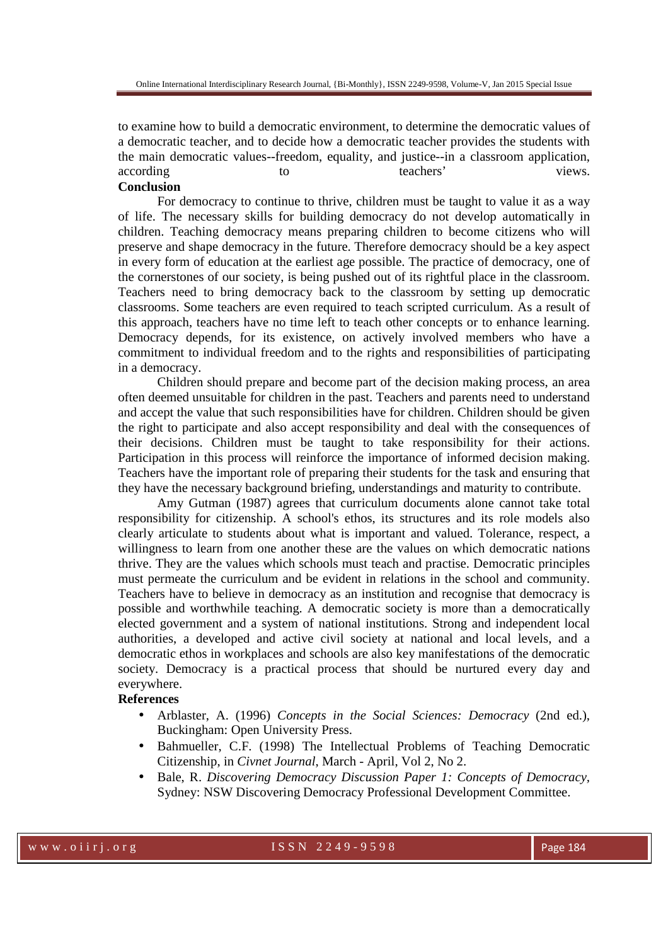to examine how to build a democratic environment, to determine the democratic values of a democratic teacher, and to decide how a democratic teacher provides the students with the main democratic values--freedom, equality, and justice--in a classroom application, according to the teachers' views.

# **Conclusion**

For democracy to continue to thrive, children must be taught to value it as a way of life. The necessary skills for building democracy do not develop automatically in children. Teaching democracy means preparing children to become citizens who will preserve and shape democracy in the future. Therefore democracy should be a key aspect in every form of education at the earliest age possible. The practice of democracy, one of the cornerstones of our society, is being pushed out of its rightful place in the classroom. Teachers need to bring democracy back to the classroom by setting up democratic classrooms. Some teachers are even required to teach scripted curriculum. As a result of this approach, teachers have no time left to teach other concepts or to enhance learning. Democracy depends, for its existence, on actively involved members who have a commitment to individual freedom and to the rights and responsibilities of participating in a democracy.

Children should prepare and become part of the decision making process, an area often deemed unsuitable for children in the past. Teachers and parents need to understand and accept the value that such responsibilities have for children. Children should be given the right to participate and also accept responsibility and deal with the consequences of their decisions. Children must be taught to take responsibility for their actions. Participation in this process will reinforce the importance of informed decision making. Teachers have the important role of preparing their students for the task and ensuring that they have the necessary background briefing, understandings and maturity to contribute.

Amy Gutman (1987) agrees that curriculum documents alone cannot take total responsibility for citizenship. A school's ethos, its structures and its role models also clearly articulate to students about what is important and valued. Tolerance, respect, a willingness to learn from one another these are the values on which democratic nations thrive. They are the values which schools must teach and practise. Democratic principles must permeate the curriculum and be evident in relations in the school and community. Teachers have to believe in democracy as an institution and recognise that democracy is possible and worthwhile teaching. A democratic society is more than a democratically elected government and a system of national institutions. Strong and independent local authorities, a developed and active civil society at national and local levels, and a democratic ethos in workplaces and schools are also key manifestations of the democratic society. Democracy is a practical process that should be nurtured every day and everywhere.

### **References**

- Arblaster, A. (1996) *Concepts in the Social Sciences: Democracy* (2nd ed.), Buckingham: Open University Press.
- Bahmueller, C.F. (1998) The Intellectual Problems of Teaching Democratic Citizenship, in *Civnet Journal*, March - April, Vol 2, No 2.
- Bale, R. *Discovering Democracy Discussion Paper 1: Concepts of Democracy,* Sydney: NSW Discovering Democracy Professional Development Committee.

www.oiirj.org ISSN 2249-9598 Page 184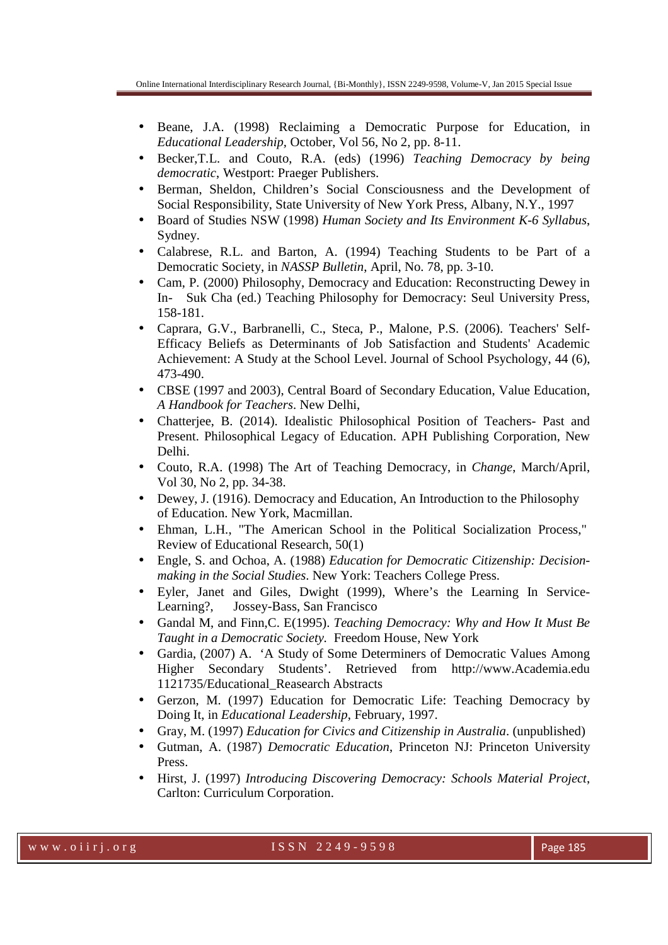- Beane, J.A. (1998) Reclaiming a Democratic Purpose for Education, in *Educational Leadership,* October, Vol 56, No 2, pp. 8-11.
- Becker,T.L. and Couto, R.A. (eds) (1996) *Teaching Democracy by being democratic*, Westport: Praeger Publishers.
- Berman, Sheldon, Children's Social Consciousness and the Development of Social Responsibility, State University of New York Press, Albany, N.Y., 1997
- Board of Studies NSW (1998) *Human Society and Its Environment K-6 Syllabus*, Sydney.
- Calabrese, R.L. and Barton, A. (1994) Teaching Students to be Part of a Democratic Society, in *NASSP Bulletin*, April, No. 78, pp. 3-10.
- Cam, P. (2000) Philosophy, Democracy and Education: Reconstructing Dewey in In- Suk Cha (ed.) Teaching Philosophy for Democracy: Seul University Press, 158-181.
- Caprara, G.V., Barbranelli, C., Steca, P., Malone, P.S. (2006). Teachers' Self-Efficacy Beliefs as Determinants of Job Satisfaction and Students' Academic Achievement: A Study at the School Level. Journal of School Psychology, 44 (6), 473-490.
- CBSE (1997 and 2003), Central Board of Secondary Education, Value Education, *A Handbook for Teachers*. New Delhi,
- Chatterjee, B. (2014). Idealistic Philosophical Position of Teachers- Past and Present. Philosophical Legacy of Education. APH Publishing Corporation, New Delhi.
- Couto, R.A. (1998) The Art of Teaching Democracy, in *Change*, March/April, Vol 30, No 2, pp. 34-38.
- Dewey, J. (1916). Democracy and Education, An Introduction to the Philosophy of Education. New York, Macmillan.
- Ehman, L.H., "The American School in the Political Socialization Process," Review of Educational Research, 50(1)
- Engle, S. and Ochoa, A. (1988) *Education for Democratic Citizenship: Decisionmaking in the Social Studies*. New York: Teachers College Press.
- Eyler, Janet and Giles, Dwight (1999), Where's the Learning In Service-Learning?, Jossey-Bass, San Francisco
- Gandal M, and Finn,C. E(1995). *Teaching Democracy: Why and How It Must Be Taught in a Democratic Society.* Freedom House, New York
- Gardia, (2007) A. 'A Study of Some Determiners of Democratic Values Among Higher Secondary Students'. Retrieved from http://www.Academia.edu 1121735/Educational\_Reasearch Abstracts
- Gerzon, M. (1997) Education for Democratic Life: Teaching Democracy by Doing It, in *Educational Leadership*, February, 1997.
- Gray, M. (1997) *Education for Civics and Citizenship in Australia*. (unpublished)
- Gutman, A. (1987) *Democratic Education*, Princeton NJ: Princeton University Press.
- Hirst, J. (1997) *Introducing Discovering Democracy: Schools Material Project*, Carlton: Curriculum Corporation.

www.oiirj.org ISSN 2249-9598 Page 185